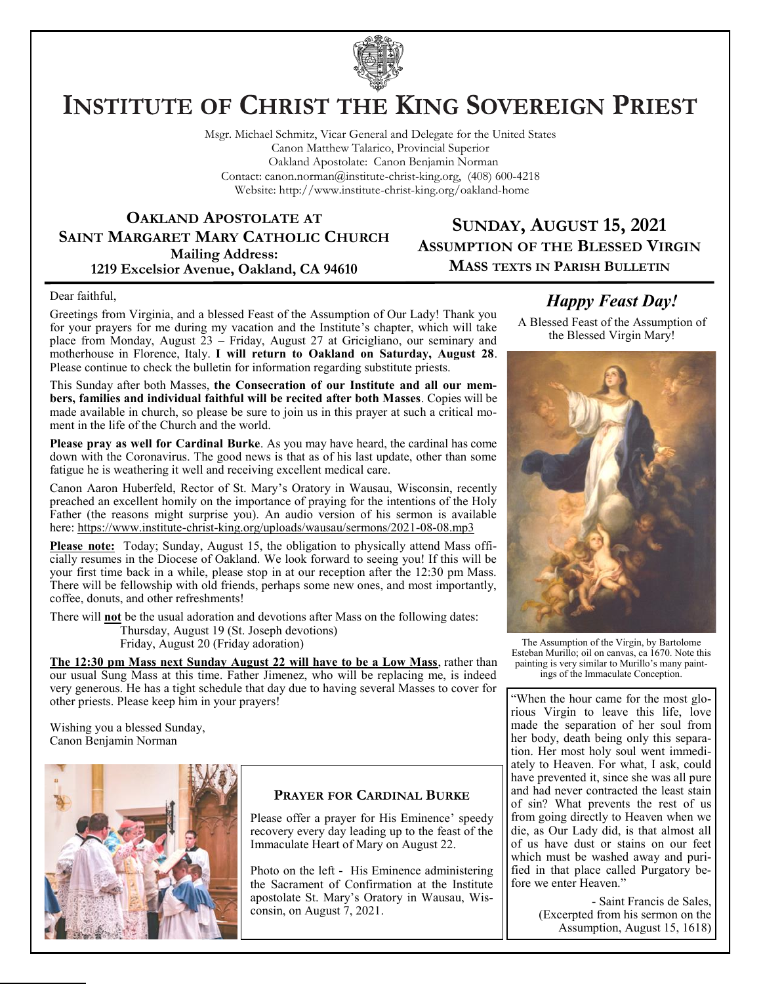

# **INSTITUTE OF CHRIST THE KING SOVEREIGN PRIEST**

Msgr. Michael Schmitz, Vicar General and Delegate for the United States Canon Matthew Talarico, Provincial Superior Oakland Apostolate: Canon Benjamin Norman Contact: canon.norman@institute-christ-king.org, (408) 600-4218 Website: http://www.institute-christ-king.org/oakland-home

**OAKLAND APOSTOLATE AT SAINT MARGARET MARY CATHOLIC CHURCH Mailing Address: 1219 Excelsior Avenue, Oakland, CA 94610**

## **SUNDAY, AUGUST 15, 2021 ASSUMPTION OF THE BLESSED VIRGIN MASS TEXTS IN PARISH BULLETIN**

#### Dear faithful,

Greetings from Virginia, and a blessed Feast of the Assumption of Our Lady! Thank you for your prayers for me during my vacation and the Institute's chapter, which will take place from Monday, August 23 – Friday, August 27 at Gricigliano, our seminary and motherhouse in Florence, Italy. **I will return to Oakland on Saturday, August 28**. Please continue to check the bulletin for information regarding substitute priests.

This Sunday after both Masses, **the Consecration of our Institute and all our members, families and individual faithful will be recited after both Masses**. Copies will be made available in church, so please be sure to join us in this prayer at such a critical moment in the life of the Church and the world.

**Please pray as well for Cardinal Burke**. As you may have heard, the cardinal has come down with the Coronavirus. The good news is that as of his last update, other than some fatigue he is weathering it well and receiving excellent medical care.

Canon Aaron Huberfeld, Rector of St. Mary's Oratory in Wausau, Wisconsin, recently preached an excellent homily on the importance of praying for the intentions of the Holy Father (the reasons might surprise you). An audio version of his sermon is available here: <https://www.institute-christ-king.org/uploads/wausau/sermons/2021-08-08.mp3>

Please note: Today; Sunday, August 15, the obligation to physically attend Mass officially resumes in the Diocese of Oakland. We look forward to seeing you! If this will be your first time back in a while, please stop in at our reception after the 12:30 pm Mass. There will be fellowship with old friends, perhaps some new ones, and most importantly, coffee, donuts, and other refreshments!

There will **not** be the usual adoration and devotions after Mass on the following dates: Thursday, August 19 (St. Joseph devotions)

Friday, August 20 (Friday adoration)

**The 12:30 pm Mass next Sunday August 22 will have to be a Low Mass**, rather than our usual Sung Mass at this time. Father Jimenez, who will be replacing me, is indeed very generous. He has a tight schedule that day due to having several Masses to cover for other priests. Please keep him in your prayers!

Wishing you a blessed Sunday, Canon Benjamin Norman



## **PRAYER FOR CARDINAL BURKE**

Please offer a prayer for His Eminence' speedy recovery every day leading up to the feast of the Immaculate Heart of Mary on August 22.

Photo on the left - His Eminence administering the Sacrament of Confirmation at the Institute apostolate St. Mary's Oratory in Wausau, Wisconsin, on August 7, 2021.

## *Happy Feast Day!*

A Blessed Feast of the Assumption of the Blessed Virgin Mary!



The Assumption of the Virgin, by [Bartolome](https://www.wikiart.org/en/bartolome-esteban-murillo)  [Esteban Murillo;](https://www.wikiart.org/en/bartolome-esteban-murillo) oil on canvas, ca 1670. Note this painting is very similar to Murillo's many paintings of the Immaculate Conception.

"When the hour came for the most glorious Virgin to leave this life, love made the separation of her soul from her body, death being only this separation. Her most holy soul went immediately to Heaven. For what, I ask, could have prevented it, since she was all pure and had never contracted the least stain of sin? What prevents the rest of us from going directly to Heaven when we die, as Our Lady did, is that almost all of us have dust or stains on our feet which must be washed away and purified in that place called Purgatory before we enter Heaven."

> - Saint Francis de Sales, (Excerpted from his sermon on the Assumption, August 15, 1618)